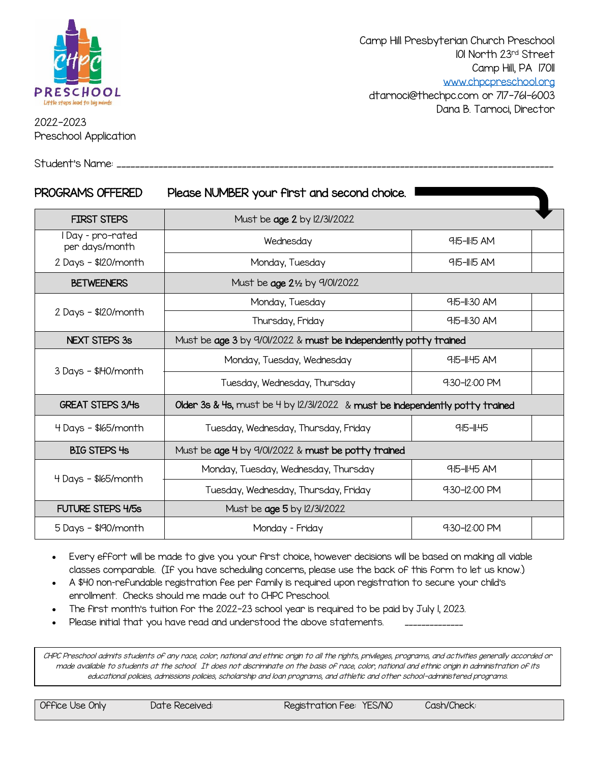

2022-2023 Preschool Application

Student's Name: \_

Camp Hill Presbyterian Church Preschool 101 North 23rd Street Camp Hill, PA 17011 [www.chpcpreschool.org](http://www.chpcpreschool.org/) [dtarnoci@thechpc.com](mailto:dtarnoci@thechpc.com) or 717-761-6003

Dana B. Tarnoci, Director

| PROGRAMS OFFERED                    | Please NUMBER your first and second choice.                                  |                   |  |  |  |
|-------------------------------------|------------------------------------------------------------------------------|-------------------|--|--|--|
| <b>FIRST STEPS</b>                  | Must be age 2 by 12/31/2022                                                  |                   |  |  |  |
| I Day - pro-rated<br>per days/month | Wednesday                                                                    | $9:5 - 1:5$ AM    |  |  |  |
| 2 Days - \$120/month                | Monday, Tuesday                                                              | 9:15-11:15 AM     |  |  |  |
| <b>BETWEENERS</b>                   | Must be age 21/2 by 9/01/2022                                                |                   |  |  |  |
| 2 Days - \$120/month                | Monday, Tuesday                                                              | $9:5-1:30$ AM     |  |  |  |
|                                     | Thursday, Friday                                                             | 9:15-11:30 AM     |  |  |  |
| <b>NEXT STEPS 3s</b>                | Must be age 3 by 9/01/2022 & must be independently potty trained             |                   |  |  |  |
| 3 Days - \$140/month                | Monday, Tuesday, Wednesday                                                   | 9:15-11:45 AM     |  |  |  |
|                                     | Tuesday, Wednesday, Thursday                                                 | $9:30 - 12:00$ PM |  |  |  |
| <b>GREAT STEPS 3/4s</b>             | Older 3s & 4s, must be 4 by 12/31/2022 & must be independently potty trained |                   |  |  |  |
| 4 Days - \$165/month                | Tuesday, Wednesday, Thursday, Friday                                         | 9:15-11:45        |  |  |  |
| <b>BIG STEPS 4s</b>                 | Must be age 4 by 9/01/2022 & must be potty trained                           |                   |  |  |  |
| 4 Days - \$165/month                | Monday, Tuesday, Wednesday, Thursday                                         | 9:15-11:45 AM     |  |  |  |
|                                     | Tuesday, Wednesday, Thursday, Friday                                         | 9:30-12:00 PM     |  |  |  |
| <b>FUTURE STEPS 4/5s</b>            | Must be age 5 by 12/31/2022                                                  |                   |  |  |  |
| $5$ Days - \$190/month              | 9:30-12:00 PM<br>Monday - Friday                                             |                   |  |  |  |

- Every effort will be made to give you your first choice, however decisions will be based on making all viable classes comparable. (If you have scheduling concerns, please use the back of this form to let us know.)
- A \$40 non–refundable registration fee per family is required upon registration to secure your child's enrollment. Checks should me made out to CHPC Preschool.
- The first month's tuition for the 2022-23 school year is required to be paid by July 1, 2023.
- Please initial that you have read and understood the above statements.

CHPC Preschool admits students of any race, color, national and ethnic origin to all the rights, privileges, programs, and activities generally accorded or made available to students at the school. It does not discriminate on the basis of race, color, national and ethnic origin in administration of its educational policies, admissions policies, scholarship and loan programs, and athletic and other school-administered programs.

Office Use Only Date Received: Registration Fee: YES/NO Cash/Check: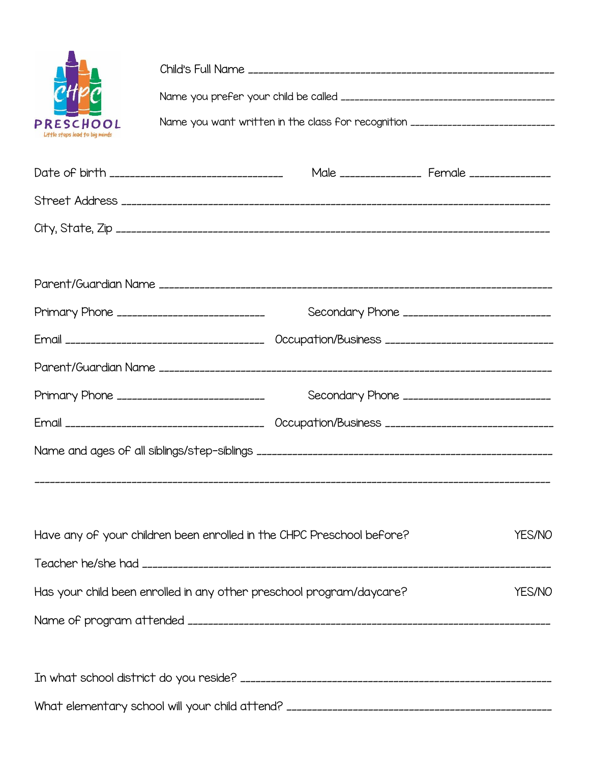| PRESCHOOL<br>Little steps lead to big minds       | Name you want written in the class for recognition _____________________________ |                                                                       |  |        |  |  |  |
|---------------------------------------------------|----------------------------------------------------------------------------------|-----------------------------------------------------------------------|--|--------|--|--|--|
| Date of birth ___________________________________ |                                                                                  | Male ________________ Female ________________                         |  |        |  |  |  |
|                                                   |                                                                                  |                                                                       |  |        |  |  |  |
|                                                   |                                                                                  |                                                                       |  |        |  |  |  |
|                                                   |                                                                                  |                                                                       |  |        |  |  |  |
| Primary Phone ______________________________      |                                                                                  | Secondary Phone ______________________________                        |  |        |  |  |  |
|                                                   |                                                                                  |                                                                       |  |        |  |  |  |
|                                                   |                                                                                  |                                                                       |  |        |  |  |  |
| Primary Phone _____________________________       |                                                                                  | Secondary Phone _____________________________                         |  |        |  |  |  |
|                                                   |                                                                                  |                                                                       |  |        |  |  |  |
|                                                   |                                                                                  |                                                                       |  |        |  |  |  |
|                                                   |                                                                                  | Have any of your children been enrolled in the CHPC Preschool before? |  | YES/NO |  |  |  |
|                                                   |                                                                                  | Has your child been enrolled in any other preschool program/daycare?  |  | YES/NO |  |  |  |
|                                                   |                                                                                  |                                                                       |  |        |  |  |  |
|                                                   |                                                                                  |                                                                       |  |        |  |  |  |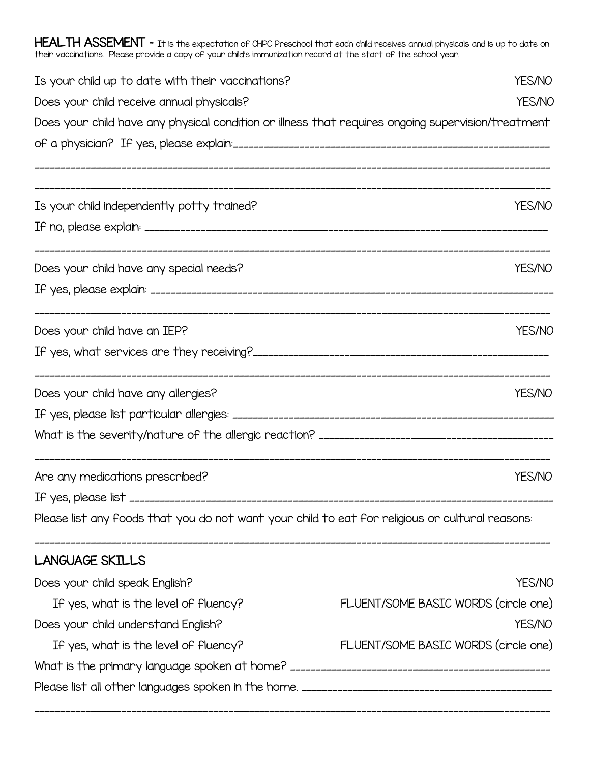$HEALTH ASSEMENT$  – It is the expectation of CHPC Preschool that each child receives annual physicals and is up to date on their vaccinations. Please provide a copy of your child's immunization record at the start of the school year.

| Is your child up to date with their vaccinations?                                                  | YES/NO                               |  |  |  |
|----------------------------------------------------------------------------------------------------|--------------------------------------|--|--|--|
| Does your child receive annual physicals?                                                          |                                      |  |  |  |
| Does your child have any physical condition or illness that requires ongoing supervision/treatment |                                      |  |  |  |
|                                                                                                    |                                      |  |  |  |
| Is your child independently potty trained?                                                         | YES/NO                               |  |  |  |
|                                                                                                    |                                      |  |  |  |
| Does your child have any special needs?                                                            | YES/NO                               |  |  |  |
|                                                                                                    |                                      |  |  |  |
| Does your child have an IEP?                                                                       | YES/NO                               |  |  |  |
|                                                                                                    |                                      |  |  |  |
| Does your child have any allergies?                                                                | YES/NO                               |  |  |  |
|                                                                                                    |                                      |  |  |  |
|                                                                                                    |                                      |  |  |  |
| Are any medications prescribed?                                                                    | YES/NO                               |  |  |  |
| If yes, please list .                                                                              |                                      |  |  |  |
| Please list any foods that you do not want your child to eat for religious or cultural reasons:    |                                      |  |  |  |
| LANGUAGE SKILLS                                                                                    |                                      |  |  |  |
| Does your child speak English?                                                                     | YES/NO                               |  |  |  |
| If yes, what is the level of fluency?                                                              | FLUENT/SOME BASIC WORDS (circle one) |  |  |  |
| Does your child understand English?                                                                | YES/NO                               |  |  |  |
| If yes, what is the level of fluency?                                                              | FLUENT/SOME BASIC WORDS (circle one) |  |  |  |
|                                                                                                    |                                      |  |  |  |
|                                                                                                    |                                      |  |  |  |

\_\_\_\_\_\_\_\_\_\_\_\_\_\_\_\_\_\_\_\_\_\_\_\_\_\_\_\_\_\_\_\_\_\_\_\_\_\_\_\_\_\_\_\_\_\_\_\_\_\_\_\_\_\_\_\_\_\_\_\_\_\_\_\_\_\_\_\_\_\_\_\_\_\_\_\_\_\_\_\_\_\_\_\_\_\_\_\_\_\_\_\_\_\_\_\_\_\_\_\_\_